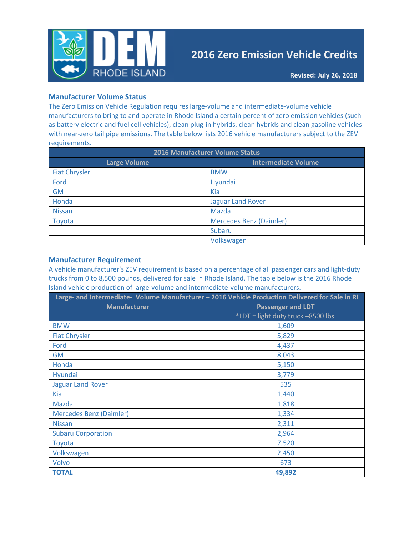

# **2016 Zero Emission Vehicle Credits**

### **Manufacturer Volume Status**

The Zero Emission Vehicle Regulation requires large-volume and intermediate-volume vehicle manufacturers to bring to and operate in Rhode Island a certain percent of zero emission vehicles (such as battery electric and fuel cell vehicles), clean plug-in hybrids, clean hybrids and clean gasoline vehicles with near-zero tail pipe emissions. The table below lists 2016 vehicle manufacturers subject to the ZEV requirements.

| 2016 Manufacturer Volume Status |                                |  |  |
|---------------------------------|--------------------------------|--|--|
| <b>Large Volume</b>             | <b>Intermediate Volume</b>     |  |  |
| <b>Fiat Chrysler</b>            | <b>BMW</b>                     |  |  |
| Ford                            | Hyundai                        |  |  |
| <b>GM</b>                       | Kia                            |  |  |
| Honda                           | <b>Jaguar Land Rover</b>       |  |  |
| <b>Nissan</b>                   | Mazda                          |  |  |
| Toyota                          | <b>Mercedes Benz (Daimler)</b> |  |  |
|                                 | Subaru                         |  |  |
|                                 | Volkswagen                     |  |  |

#### **Manufacturer Requirement**

A vehicle manufacturer's ZEV requirement is based on a percentage of all passenger cars and light-duty trucks from 0 to 8,500 pounds, delivered for sale in Rhode Island. The table below is the 2016 Rhode Island vehicle production of large-volume and intermediate-volume manufacturers.

| Large- and Intermediate- Volume Manufacturer - 2016 Vehicle Production Delivered for Sale in RI |                                    |  |  |
|-------------------------------------------------------------------------------------------------|------------------------------------|--|--|
| <b>Manufacturer</b>                                                                             | <b>Passenger and LDT</b>           |  |  |
|                                                                                                 | *LDT = light duty truck -8500 lbs. |  |  |
| <b>BMW</b>                                                                                      | 1,609                              |  |  |
| <b>Fiat Chrysler</b>                                                                            | 5,829                              |  |  |
| Ford                                                                                            | 4,437                              |  |  |
| <b>GM</b>                                                                                       | 8,043                              |  |  |
| Honda                                                                                           | 5,150                              |  |  |
| <b>Hyundai</b>                                                                                  | 3,779                              |  |  |
| <b>Jaguar Land Rover</b>                                                                        | 535                                |  |  |
| <b>Kia</b>                                                                                      | 1,440                              |  |  |
| <b>Mazda</b>                                                                                    | 1,818                              |  |  |
| Mercedes Benz (Daimler)                                                                         | 1,334                              |  |  |
| <b>Nissan</b>                                                                                   | 2,311                              |  |  |
| <b>Subaru Corporation</b>                                                                       | 2,964                              |  |  |
| Toyota                                                                                          | 7,520                              |  |  |
| Volkswagen                                                                                      | 2,450                              |  |  |
| Volvo                                                                                           | 673                                |  |  |
| <b>TOTAL</b>                                                                                    | 49,892                             |  |  |